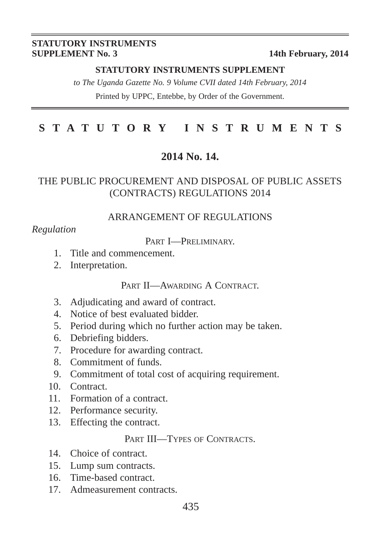#### **STATUTORY INSTRUMENTS SUPPLEMENT No. 3** 14th February, 2014

#### **STATUTORY INSTRUMENTS SUPPLEMENT**

*to The Uganda Gazette No. 9 Volume CVII dated 14th February, 2014* Printed by UPPC, Entebbe, by Order of the Government.

# **STATUTORY INSTRUMENTS**

#### **2014 No. 14.**

#### THE PUBLIC PROCUREMENT AND DISPOSAL OF PUBLIC ASSETS (CONTRACTS) REGULATIONS 2014

#### ARRANGEMENT OF REGULATIONS

#### *Regulation*

PART **I**—PRELIMINARY

- 1. Title and commencement.
- 2. Interpretation.

#### PART II—AWARDING A CONTRACT.

- 3. Adjudicating and award of contract.
- 4. Notice of best evaluated bidder.
- 5. Period during which no further action may be taken.
- 6. Debriefing bidders.
- 7. Procedure for awarding contract.
- 8. Commitment of funds.
- 9. Commitment of total cost of acquiring requirement.
- 10. Contract.
- 11. Formation of a contract.
- 12. Performance security.
- 13. Effecting the contract.

#### PART III—TYPES OF CONTRACTS.

- 14. Choice of contract.
- 15. Lump sum contracts.
- 16. Time-based contract.
- 17. Admeasurement contracts.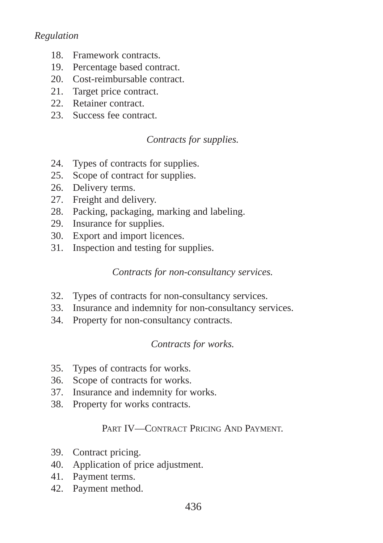#### *Regulation*

- 18. Framework contracts.
- 19. Percentage based contract.
- 20. Cost-reimbursable contract.
- 21. Target price contract.
- 22. Retainer contract.
- 23. Success fee contract.

#### *Contracts for supplies.*

- 24. Types of contracts for supplies.
- 25. Scope of contract for supplies.
- 26. Delivery terms.
- 27. Freight and delivery.
- 28. Packing, packaging, marking and labeling.
- 29. Insurance for supplies.
- 30. Export and import licences.
- 31. Inspection and testing for supplies.

#### *Contracts for non-consultancy services.*

- 32. Types of contracts for non-consultancy services.
- 33. Insurance and indemnity for non-consultancy services.
- 34. Property for non-consultancy contracts.

#### *Contracts for works.*

- 35. Types of contracts for works.
- 36. Scope of contracts for works.
- 37. Insurance and indemnity for works.
- 38. Property for works contracts.

#### PART IV—CONTRACT PRICING AND PAYMENT.

- 39. Contract pricing.
- 40. Application of price adjustment.
- 41. Payment terms.
- 42. Payment method.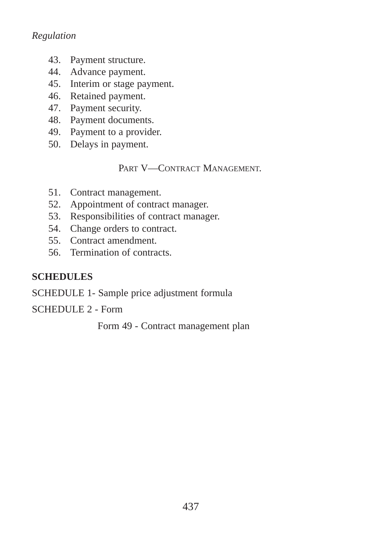#### *Regulation*

- 43. Payment structure.
- 44. Advance payment.
- 45. Interim or stage payment.
- 46. Retained payment.
- 47. Payment security.
- 48. Payment documents.
- 49. Payment to a provider.
- 50. Delays in payment.

PART V—CONTRACT MANAGEMENT.

- 51. Contract management.
- 52. Appointment of contract manager.
- 53. Responsibilities of contract manager.
- 54. Change orders to contract.
- 55. Contract amendment.
- 56. Termination of contracts.

#### **SCHEDULES**

SCHEDULE 1*-* Sample price adjustment formula

SCHEDULE 2 - Form

Form 49 - Contract management plan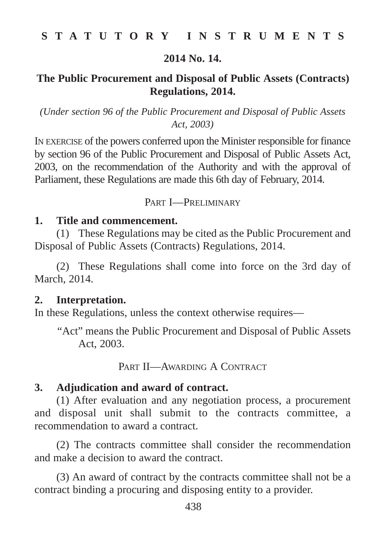#### **2014 No. 14.**

# **The Public Procurement and Disposal of Public Assets (Contracts) Regulations, 2014.**

*(Under section 96 of the Public Procurement and Disposal of Public Assets Act, 2003)*

IN EXERCISE of the powers conferred upon the Minister responsible for finance by section 96 of the Public Procurement and Disposal of Public Assets Act, 2003, on the recommendation of the Authority and with the approval of Parliament, these Regulations are made this 6th day of February, 2014.

#### PART I—PRELIMINARY

#### **1. Title and commencement.**

(1) These Regulations may be cited as the Public Procurement and Disposal of Public Assets (Contracts) Regulations, 2014.

(2) These Regulations shall come into force on the 3rd day of March, 2014.

#### **2. Interpretation.**

In these Regulations, unless the context otherwise requires—

"Act" means the Public Procurement and Disposal of Public Assets Act, 2003.

PART II—AWARDING A CONTRACT

#### **3. Adjudication and award of contract.**

(1) After evaluation and any negotiation process, a procurement and disposal unit shall submit to the contracts committee, a recommendation to award a contract.

(2) The contracts committee shall consider the recommendation and make a decision to award the contract.

(3) An award of contract by the contracts committee shall not be a contract binding a procuring and disposing entity to a provider.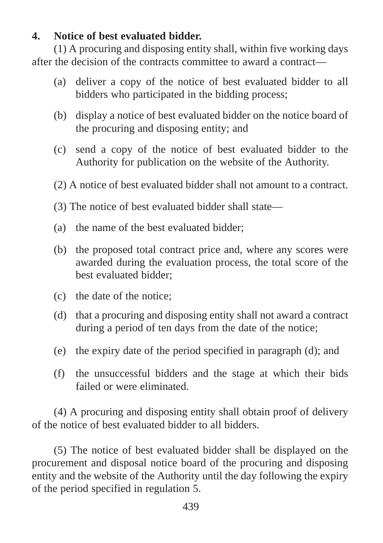# **4. Notice of best evaluated bidder.**

(1) A procuring and disposing entity shall, within five working days after the decision of the contracts committee to award a contract—

- (a) deliver a copy of the notice of best evaluated bidder to all bidders who participated in the bidding process;
- (b) display a notice of best evaluated bidder on the notice board of the procuring and disposing entity; and
- (c) send a copy of the notice of best evaluated bidder to the Authority for publication on the website of the Authority.
- (2) A notice of best evaluated bidder shall not amount to a contract.
- (3) The notice of best evaluated bidder shall state—
- (a) the name of the best evaluated bidder;
- (b) the proposed total contract price and, where any scores were awarded during the evaluation process, the total score of the best evaluated bidder;
- (c) the date of the notice;
- (d) that a procuring and disposing entity shall not award a contract during a period of ten days from the date of the notice;
- (e) the expiry date of the period specified in paragraph (d); and
- (f) the unsuccessful bidders and the stage at which their bids failed or were eliminated.

(4) A procuring and disposing entity shall obtain proof of delivery of the notice of best evaluated bidder to all bidders.

(5) The notice of best evaluated bidder shall be displayed on the procurement and disposal notice board of the procuring and disposing entity and the website of the Authority until the day following the expiry of the period specified in regulation 5.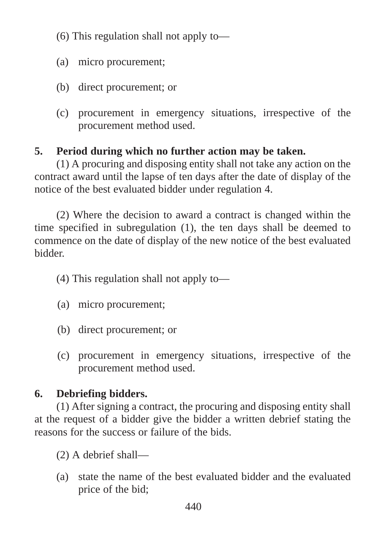- (6) This regulation shall not apply to—
- (a) micro procurement;
- (b) direct procurement; or
- (c) procurement in emergency situations, irrespective of the procurement method used.

# **5. Period during which no further action may be taken.**

(1) A procuring and disposing entity shall not take any action on the contract award until the lapse of ten days after the date of display of the notice of the best evaluated bidder under regulation 4.

(2) Where the decision to award a contract is changed within the time specified in subregulation (1), the ten days shall be deemed to commence on the date of display of the new notice of the best evaluated bidder.

- (4) This regulation shall not apply to—
- (a) micro procurement;
- (b) direct procurement; or
- (c) procurement in emergency situations, irrespective of the procurement method used.

# **6. Debriefing bidders.**

(1) After signing a contract, the procuring and disposing entity shall at the request of a bidder give the bidder a written debrief stating the reasons for the success or failure of the bids.

- (2) A debrief shall—
- (a) state the name of the best evaluated bidder and the evaluated price of the bid;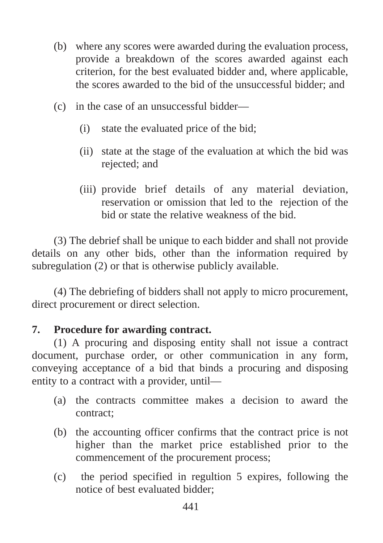- (b) where any scores were awarded during the evaluation process, provide a breakdown of the scores awarded against each criterion, for the best evaluated bidder and, where applicable, the scores awarded to the bid of the unsuccessful bidder; and
- (c) in the case of an unsuccessful bidder—
	- (i) state the evaluated price of the bid;
	- (ii) state at the stage of the evaluation at which the bid was rejected; and
	- (iii) provide brief details of any material deviation, reservation or omission that led to the rejection of the bid or state the relative weakness of the bid.

(3) The debrief shall be unique to each bidder and shall not provide details on any other bids, other than the information required by subregulation (2) or that is otherwise publicly available.

(4) The debriefing of bidders shall not apply to micro procurement, direct procurement or direct selection.

# **7. Procedure for awarding contract.**

(1) A procuring and disposing entity shall not issue a contract document, purchase order, or other communication in any form, conveying acceptance of a bid that binds a procuring and disposing entity to a contract with a provider, until—

- (a) the contracts committee makes a decision to award the contract;
- (b) the accounting officer confirms that the contract price is not higher than the market price established prior to the commencement of the procurement process;
- (c) the period specified in regultion 5 expires, following the notice of best evaluated bidder;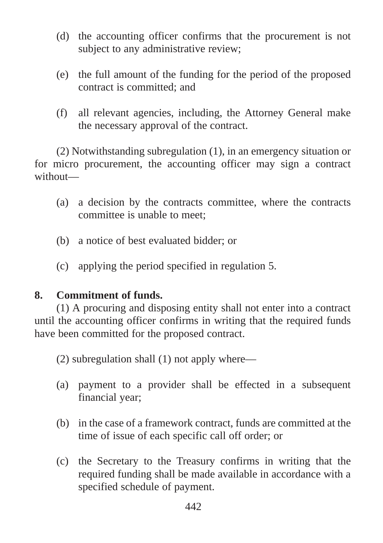- (d) the accounting officer confirms that the procurement is not subject to any administrative review;
- (e) the full amount of the funding for the period of the proposed contract is committed; and
- (f) all relevant agencies, including, the Attorney General make the necessary approval of the contract.

(2) Notwithstanding subregulation (1), in an emergency situation or for micro procurement, the accounting officer may sign a contract without—

- (a) a decision by the contracts committee, where the contracts committee is unable to meet;
- (b) a notice of best evaluated bidder; or
- (c) applying the period specified in regulation 5.

#### **8. Commitment of funds.**

(1) A procuring and disposing entity shall not enter into a contract until the accounting officer confirms in writing that the required funds have been committed for the proposed contract.

(2) subregulation shall (1) not apply where—

- (a) payment to a provider shall be effected in a subsequent financial year;
- (b) in the case of a framework contract, funds are committed at the time of issue of each specific call off order; or
- (c) the Secretary to the Treasury confirms in writing that the required funding shall be made available in accordance with a specified schedule of payment.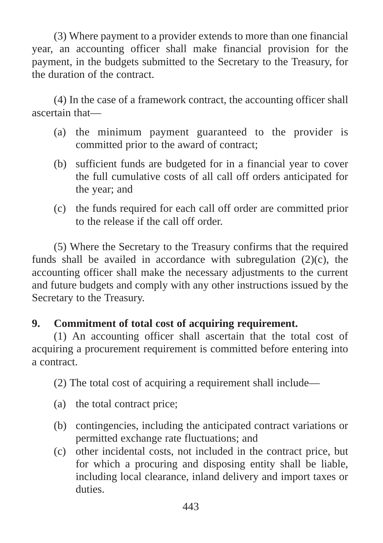(3) Where payment to a provider extends to more than one financial year, an accounting officer shall make financial provision for the payment, in the budgets submitted to the Secretary to the Treasury, for the duration of the contract.

(4) In the case of a framework contract, the accounting officer shall ascertain that—

- (a) the minimum payment guaranteed to the provider is committed prior to the award of contract;
- (b) sufficient funds are budgeted for in a financial year to cover the full cumulative costs of all call off orders anticipated for the year; and
- (c) the funds required for each call off order are committed prior to the release if the call off order.

(5) Where the Secretary to the Treasury confirms that the required funds shall be availed in accordance with subregulation  $(2)(c)$ , the accounting officer shall make the necessary adjustments to the current and future budgets and comply with any other instructions issued by the Secretary to the Treasury.

# **9. Commitment of total cost of acquiring requirement.**

(1) An accounting officer shall ascertain that the total cost of acquiring a procurement requirement is committed before entering into a contract.

(2) The total cost of acquiring a requirement shall include—

- (a) the total contract price;
- (b) contingencies, including the anticipated contract variations or permitted exchange rate fluctuations; and
- (c) other incidental costs, not included in the contract price, but for which a procuring and disposing entity shall be liable, including local clearance, inland delivery and import taxes or duties.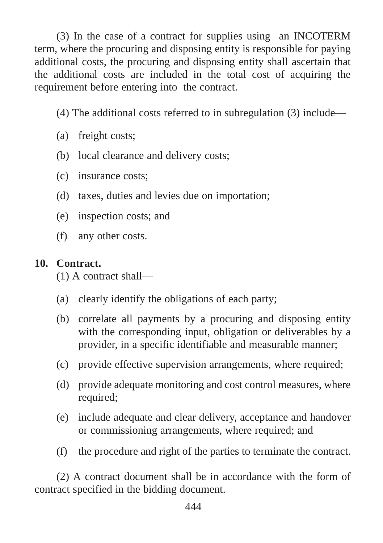(3) In the case of a contract for supplies using an INCOTERM term, where the procuring and disposing entity is responsible for paying additional costs, the procuring and disposing entity shall ascertain that the additional costs are included in the total cost of acquiring the requirement before entering into the contract.

- (4) The additional costs referred to in subregulation (3) include—
- (a) freight costs;
- (b) local clearance and delivery costs;
- (c) insurance costs;
- (d) taxes, duties and levies due on importation;
- (e) inspection costs; and
- (f) any other costs.

# **10. Contract.**

- (1) A contract shall—
- (a) clearly identify the obligations of each party;
- (b) correlate all payments by a procuring and disposing entity with the corresponding input, obligation or deliverables by a provider, in a specific identifiable and measurable manner;
- (c) provide effective supervision arrangements, where required;
- (d) provide adequate monitoring and cost control measures, where required;
- (e) include adequate and clear delivery, acceptance and handover or commissioning arrangements, where required; and
- (f) the procedure and right of the parties to terminate the contract.

(2) A contract document shall be in accordance with the form of contract specified in the bidding document.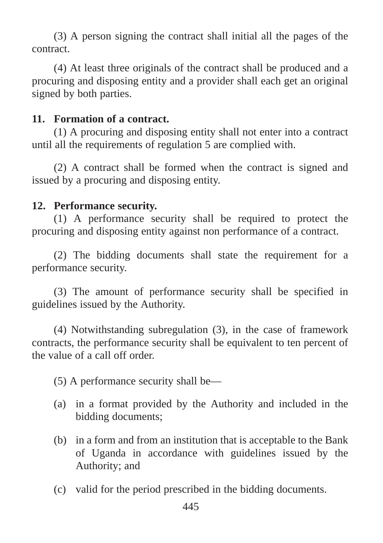(3) A person signing the contract shall initial all the pages of the contract.

(4) At least three originals of the contract shall be produced and a procuring and disposing entity and a provider shall each get an original signed by both parties.

#### **11. Formation of a contract.**

(1) A procuring and disposing entity shall not enter into a contract until all the requirements of regulation 5 are complied with.

(2) A contract shall be formed when the contract is signed and issued by a procuring and disposing entity.

#### **12. Performance security.**

(1) A performance security shall be required to protect the procuring and disposing entity against non performance of a contract.

(2) The bidding documents shall state the requirement for a performance security.

(3) The amount of performance security shall be specified in guidelines issued by the Authority.

(4) Notwithstanding subregulation (3), in the case of framework contracts, the performance security shall be equivalent to ten percent of the value of a call off order.

(5) A performance security shall be—

- (a) in a format provided by the Authority and included in the bidding documents;
- (b) in a form and from an institution that is acceptable to the Bank of Uganda in accordance with guidelines issued by the Authority; and
- (c) valid for the period prescribed in the bidding documents.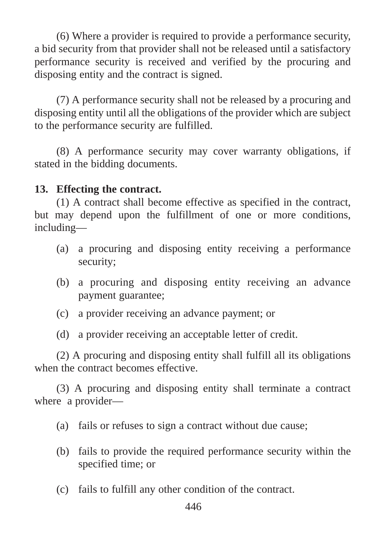(6) Where a provider is required to provide a performance security, a bid security from that provider shall not be released until a satisfactory performance security is received and verified by the procuring and disposing entity and the contract is signed.

(7) A performance security shall not be released by a procuring and disposing entity until all the obligations of the provider which are subject to the performance security are fulfilled.

(8) A performance security may cover warranty obligations, if stated in the bidding documents.

### **13. Effecting the contract.**

(1) A contract shall become effective as specified in the contract, but may depend upon the fulfillment of one or more conditions, including—

- (a) a procuring and disposing entity receiving a performance security;
- (b) a procuring and disposing entity receiving an advance payment guarantee;
- (c) a provider receiving an advance payment; or
- (d) a provider receiving an acceptable letter of credit.

(2) A procuring and disposing entity shall fulfill all its obligations when the contract becomes effective.

(3) A procuring and disposing entity shall terminate a contract where a provider—

- (a) fails or refuses to sign a contract without due cause;
- (b) fails to provide the required performance security within the specified time; or
- (c) fails to fulfill any other condition of the contract.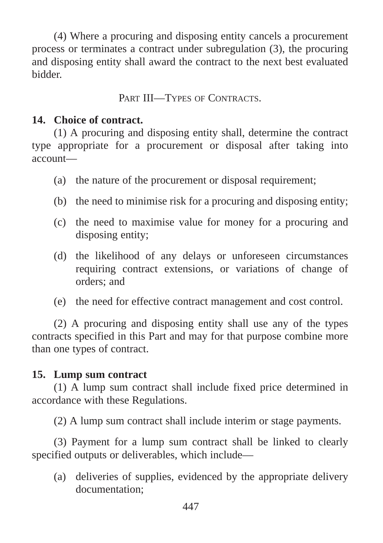(4) Where a procuring and disposing entity cancels a procurement process or terminates a contract under subregulation (3), the procuring and disposing entity shall award the contract to the next best evaluated bidder.

# PART III—TYPES OF CONTRACTS.

## **14. Choice of contract.**

(1) A procuring and disposing entity shall, determine the contract type appropriate for a procurement or disposal after taking into account—

- (a) the nature of the procurement or disposal requirement;
- (b) the need to minimise risk for a procuring and disposing entity;
- (c) the need to maximise value for money for a procuring and disposing entity;
- (d) the likelihood of any delays or unforeseen circumstances requiring contract extensions, or variations of change of orders; and
- (e) the need for effective contract management and cost control.

(2) A procuring and disposing entity shall use any of the types contracts specified in this Part and may for that purpose combine more than one types of contract.

# **15. Lump sum contract**

(1) A lump sum contract shall include fixed price determined in accordance with these Regulations.

(2) A lump sum contract shall include interim or stage payments.

(3) Payment for a lump sum contract shall be linked to clearly specified outputs or deliverables, which include—

(a) deliveries of supplies, evidenced by the appropriate delivery documentation;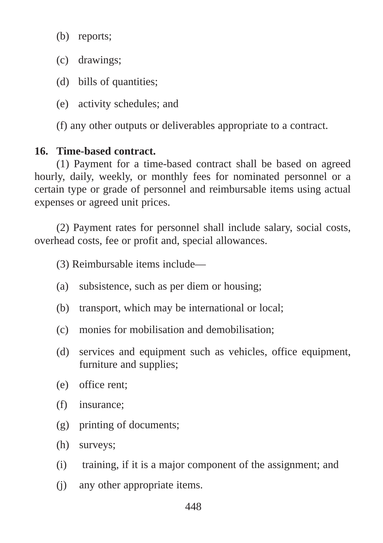(b) reports;

- (c) drawings;
- (d) bills of quantities;
- (e) activity schedules; and

(f) any other outputs or deliverables appropriate to a contract.

# **16. Time-based contract.**

(1) Payment for a time-based contract shall be based on agreed hourly, daily, weekly, or monthly fees for nominated personnel or a certain type or grade of personnel and reimbursable items using actual expenses or agreed unit prices.

(2) Payment rates for personnel shall include salary, social costs, overhead costs, fee or profit and, special allowances.

(3) Reimbursable items include—

- (a) subsistence, such as per diem or housing;
- (b) transport, which may be international or local;
- (c) monies for mobilisation and demobilisation;
- (d) services and equipment such as vehicles, office equipment, furniture and supplies;
- (e) office rent;
- (f) insurance;
- (g) printing of documents;
- (h) surveys;
- (i) training, if it is a major component of the assignment; and
- (j) any other appropriate items.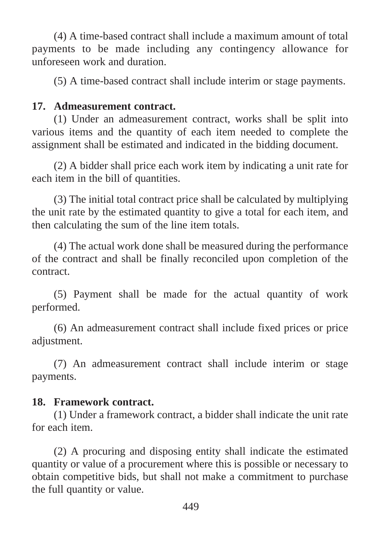(4) A time-based contract shall include a maximum amount of total payments to be made including any contingency allowance for unforeseen work and duration.

(5) A time-based contract shall include interim or stage payments.

### **17. Admeasurement contract.**

(1) Under an admeasurement contract, works shall be split into various items and the quantity of each item needed to complete the assignment shall be estimated and indicated in the bidding document.

(2) A bidder shall price each work item by indicating a unit rate for each item in the bill of quantities.

(3) The initial total contract price shall be calculated by multiplying the unit rate by the estimated quantity to give a total for each item, and then calculating the sum of the line item totals.

(4) The actual work done shall be measured during the performance of the contract and shall be finally reconciled upon completion of the contract.

(5) Payment shall be made for the actual quantity of work performed.

(6) An admeasurement contract shall include fixed prices or price adjustment.

(7) An admeasurement contract shall include interim or stage payments.

#### **18. Framework contract.**

(1) Under a framework contract, a bidder shall indicate the unit rate for each item.

(2) A procuring and disposing entity shall indicate the estimated quantity or value of a procurement where this is possible or necessary to obtain competitive bids, but shall not make a commitment to purchase the full quantity or value.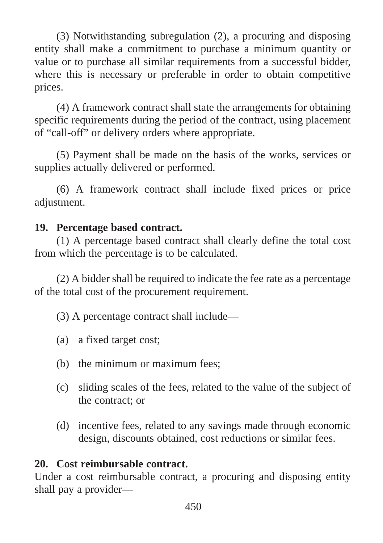(3) Notwithstanding subregulation (2), a procuring and disposing entity shall make a commitment to purchase a minimum quantity or value or to purchase all similar requirements from a successful bidder, where this is necessary or preferable in order to obtain competitive prices.

(4) A framework contract shall state the arrangements for obtaining specific requirements during the period of the contract, using placement of "call-off" or delivery orders where appropriate.

(5) Payment shall be made on the basis of the works, services or supplies actually delivered or performed.

(6) A framework contract shall include fixed prices or price adjustment.

# **19. Percentage based contract.**

(1) A percentage based contract shall clearly define the total cost from which the percentage is to be calculated.

(2) A bidder shall be required to indicate the fee rate as a percentage of the total cost of the procurement requirement.

(3) A percentage contract shall include—

- (a) a fixed target cost;
- (b) the minimum or maximum fees;
- (c) sliding scales of the fees, related to the value of the subject of the contract; or
- (d) incentive fees, related to any savings made through economic design, discounts obtained, cost reductions or similar fees.

# **20. Cost reimbursable contract.**

Under a cost reimbursable contract, a procuring and disposing entity shall pay a provider—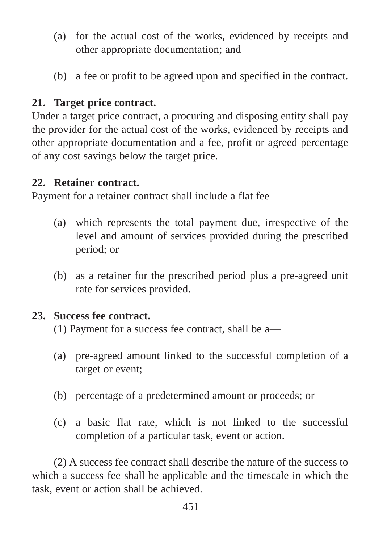- (a) for the actual cost of the works, evidenced by receipts and other appropriate documentation; and
- (b) a fee or profit to be agreed upon and specified in the contract.

# **21. Target price contract.**

Under a target price contract, a procuring and disposing entity shall pay the provider for the actual cost of the works, evidenced by receipts and other appropriate documentation and a fee, profit or agreed percentage of any cost savings below the target price.

#### **22. Retainer contract.**

Payment for a retainer contract shall include a flat fee—

- (a) which represents the total payment due, irrespective of the level and amount of services provided during the prescribed period; or
- (b) as a retainer for the prescribed period plus a pre-agreed unit rate for services provided.

#### **23. Success fee contract.**

(1) Payment for a success fee contract, shall be a—

- (a) pre-agreed amount linked to the successful completion of a target or event;
- (b) percentage of a predetermined amount or proceeds; or
- (c) a basic flat rate, which is not linked to the successful completion of a particular task, event or action.

(2) A success fee contract shall describe the nature of the success to which a success fee shall be applicable and the timescale in which the task, event or action shall be achieved.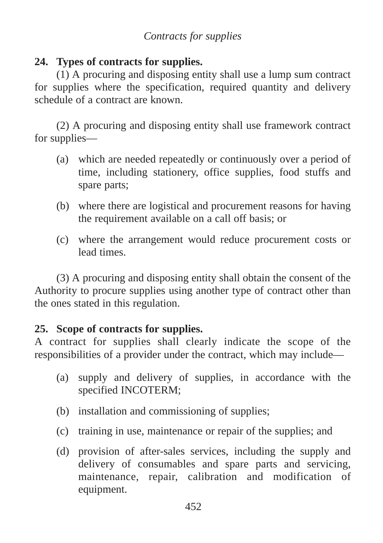# *Contracts for supplies*

# **24. Types of contracts for supplies.**

(1) A procuring and disposing entity shall use a lump sum contract for supplies where the specification, required quantity and delivery schedule of a contract are known.

(2) A procuring and disposing entity shall use framework contract for supplies—

- (a) which are needed repeatedly or continuously over a period of time, including stationery, office supplies, food stuffs and spare parts;
- (b) where there are logistical and procurement reasons for having the requirement available on a call off basis; or
- (c) where the arrangement would reduce procurement costs or lead times.

(3) A procuring and disposing entity shall obtain the consent of the Authority to procure supplies using another type of contract other than the ones stated in this regulation.

# **25. Scope of contracts for supplies.**

A contract for supplies shall clearly indicate the scope of the responsibilities of a provider under the contract, which may include—

- (a) supply and delivery of supplies, in accordance with the specified INCOTERM;
- (b) installation and commissioning of supplies;
- (c) training in use, maintenance or repair of the supplies; and
- (d) provision of after-sales services, including the supply and delivery of consumables and spare parts and servicing, maintenance, repair, calibration and modification of equipment.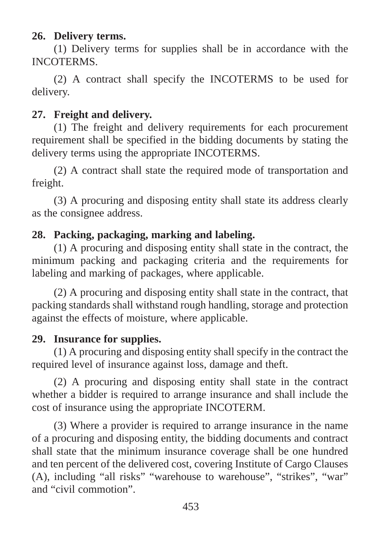# **26. Delivery terms.**

(1) Delivery terms for supplies shall be in accordance with the INCOTERMS.

(2) A contract shall specify the INCOTERMS to be used for delivery.

# **27. Freight and delivery.**

(1) The freight and delivery requirements for each procurement requirement shall be specified in the bidding documents by stating the delivery terms using the appropriate INCOTERMS.

(2) A contract shall state the required mode of transportation and freight.

(3) A procuring and disposing entity shall state its address clearly as the consignee address.

# **28. Packing, packaging, marking and labeling.**

(1) A procuring and disposing entity shall state in the contract, the minimum packing and packaging criteria and the requirements for labeling and marking of packages, where applicable.

(2) A procuring and disposing entity shall state in the contract, that packing standards shall withstand rough handling, storage and protection against the effects of moisture, where applicable.

# **29. Insurance for supplies.**

(1) A procuring and disposing entity shall specify in the contract the required level of insurance against loss, damage and theft.

(2) A procuring and disposing entity shall state in the contract whether a bidder is required to arrange insurance and shall include the cost of insurance using the appropriate INCOTERM.

(3) Where a provider is required to arrange insurance in the name of a procuring and disposing entity, the bidding documents and contract shall state that the minimum insurance coverage shall be one hundred and ten percent of the delivered cost, covering Institute of Cargo Clauses (A), including "all risks" "warehouse to warehouse", "strikes", "war" and "civil commotion".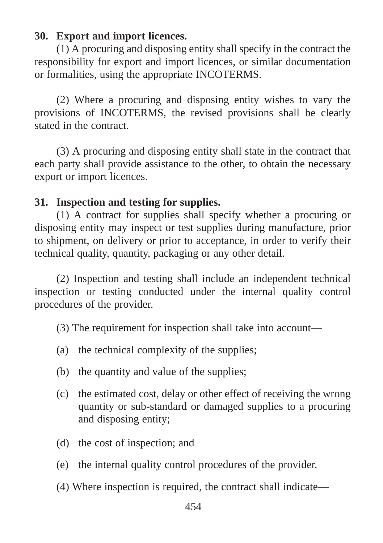# **30. Export and import licences.**

(1) A procuring and disposing entity shall specify in the contract the responsibility for export and import licences, or similar documentation or formalities, using the appropriate INCOTERMS.

(2) Where a procuring and disposing entity wishes to vary the provisions of INCOTERMS, the revised provisions shall be clearly stated in the contract.

(3) A procuring and disposing entity shall state in the contract that each party shall provide assistance to the other, to obtain the necessary export or import licences.

### **31. Inspection and testing for supplies.**

(1) A contract for supplies shall specify whether a procuring or disposing entity may inspect or test supplies during manufacture, prior to shipment, on delivery or prior to acceptance, in order to verify their technical quality, quantity, packaging or any other detail.

(2) Inspection and testing shall include an independent technical inspection or testing conducted under the internal quality control procedures of the provider.

- (3) The requirement for inspection shall take into account—
- (a) the technical complexity of the supplies;
- (b) the quantity and value of the supplies;
- (c) the estimated cost, delay or other effect of receiving the wrong quantity or sub-standard or damaged supplies to a procuring and disposing entity;
- (d) the cost of inspection; and
- (e) the internal quality control procedures of the provider.
- (4) Where inspection is required, the contract shall indicate—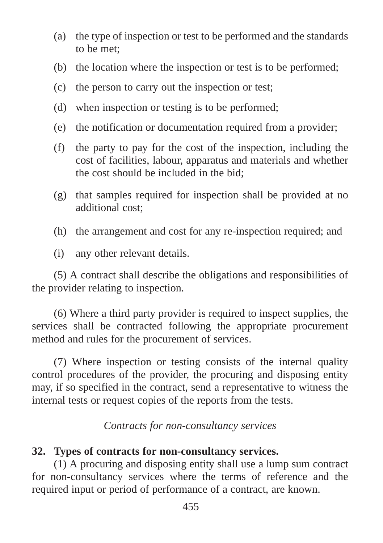- (a) the type of inspection or test to be performed and the standards to be met;
- (b) the location where the inspection or test is to be performed;
- (c) the person to carry out the inspection or test;
- (d) when inspection or testing is to be performed;
- (e) the notification or documentation required from a provider;
- (f) the party to pay for the cost of the inspection, including the cost of facilities, labour, apparatus and materials and whether the cost should be included in the bid;
- (g) that samples required for inspection shall be provided at no additional cost;
- (h) the arrangement and cost for any re-inspection required; and
- (i) any other relevant details.

(5) A contract shall describe the obligations and responsibilities of the provider relating to inspection.

(6) Where a third party provider is required to inspect supplies, the services shall be contracted following the appropriate procurement method and rules for the procurement of services.

(7) Where inspection or testing consists of the internal quality control procedures of the provider, the procuring and disposing entity may, if so specified in the contract, send a representative to witness the internal tests or request copies of the reports from the tests.

*Contracts for non-consultancy services*

# **32. Types of contracts for non-consultancy services.**

(1) A procuring and disposing entity shall use a lump sum contract for non-consultancy services where the terms of reference and the required input or period of performance of a contract, are known.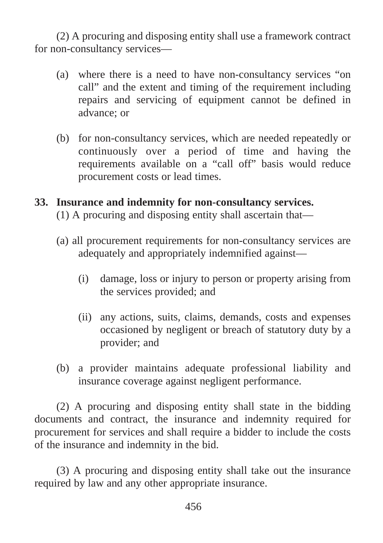(2) A procuring and disposing entity shall use a framework contract for non-consultancy services—

- (a) where there is a need to have non-consultancy services "on call" and the extent and timing of the requirement including repairs and servicing of equipment cannot be defined in advance; or
- (b) for non-consultancy services, which are needed repeatedly or continuously over a period of time and having the requirements available on a "call off" basis would reduce procurement costs or lead times.

### **33. Insurance and indemnity for non-consultancy services.**

- (1) A procuring and disposing entity shall ascertain that—
- (a) all procurement requirements for non-consultancy services are adequately and appropriately indemnified against—
	- (i) damage, loss or injury to person or property arising from the services provided; and
	- (ii) any actions, suits, claims, demands, costs and expenses occasioned by negligent or breach of statutory duty by a provider; and
- (b) a provider maintains adequate professional liability and insurance coverage against negligent performance.

(2) A procuring and disposing entity shall state in the bidding documents and contract, the insurance and indemnity required for procurement for services and shall require a bidder to include the costs of the insurance and indemnity in the bid.

(3) A procuring and disposing entity shall take out the insurance required by law and any other appropriate insurance.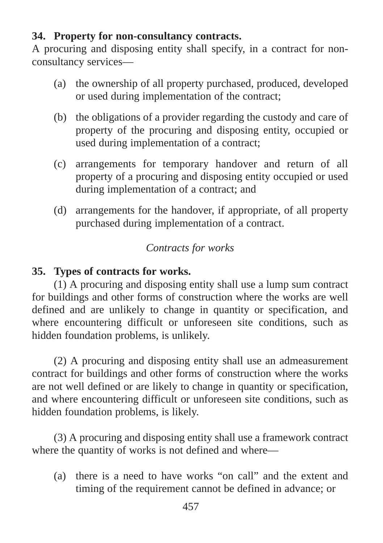# **34. Property for non-consultancy contracts.**

A procuring and disposing entity shall specify, in a contract for nonconsultancy services—

- (a) the ownership of all property purchased, produced, developed or used during implementation of the contract;
- (b) the obligations of a provider regarding the custody and care of property of the procuring and disposing entity, occupied or used during implementation of a contract;
- (c) arrangements for temporary handover and return of all property of a procuring and disposing entity occupied or used during implementation of a contract; and
- (d) arrangements for the handover, if appropriate, of all property purchased during implementation of a contract.

# *Contracts for works*

# **35. Types of contracts for works.**

(1) A procuring and disposing entity shall use a lump sum contract for buildings and other forms of construction where the works are well defined and are unlikely to change in quantity or specification, and where encountering difficult or unforeseen site conditions, such as hidden foundation problems, is unlikely.

(2) A procuring and disposing entity shall use an admeasurement contract for buildings and other forms of construction where the works are not well defined or are likely to change in quantity or specification, and where encountering difficult or unforeseen site conditions, such as hidden foundation problems, is likely.

(3) A procuring and disposing entity shall use a framework contract where the quantity of works is not defined and where—

(a) there is a need to have works "on call" and the extent and timing of the requirement cannot be defined in advance; or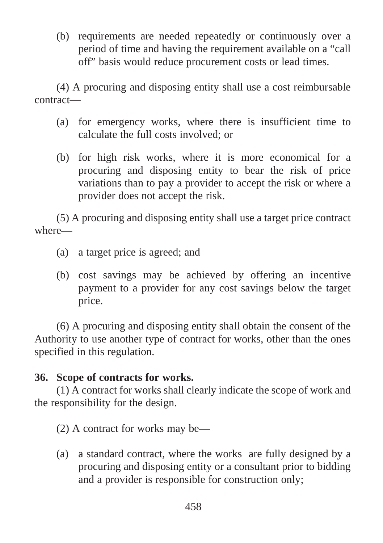(b) requirements are needed repeatedly or continuously over a period of time and having the requirement available on a "call off" basis would reduce procurement costs or lead times.

(4) A procuring and disposing entity shall use a cost reimbursable contract—

- (a) for emergency works, where there is insufficient time to calculate the full costs involved; or
- (b) for high risk works, where it is more economical for a procuring and disposing entity to bear the risk of price variations than to pay a provider to accept the risk or where a provider does not accept the risk.

(5) A procuring and disposing entity shall use a target price contract where—

- (a) a target price is agreed; and
- (b) cost savings may be achieved by offering an incentive payment to a provider for any cost savings below the target price.

(6) A procuring and disposing entity shall obtain the consent of the Authority to use another type of contract for works, other than the ones specified in this regulation.

# **36. Scope of contracts for works.**

(1) A contract for works shall clearly indicate the scope of work and the responsibility for the design.

(2) A contract for works may be—

(a) a standard contract, where the works are fully designed by a procuring and disposing entity or a consultant prior to bidding and a provider is responsible for construction only;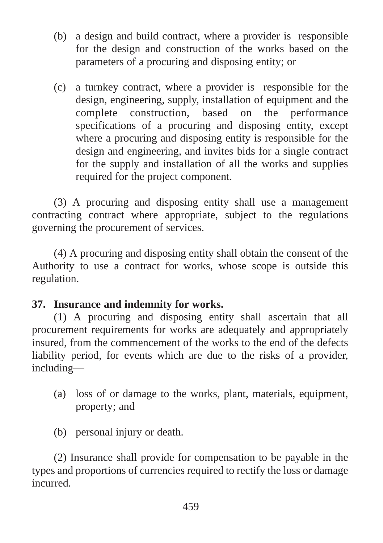- (b) a design and build contract, where a provider is responsible for the design and construction of the works based on the parameters of a procuring and disposing entity; or
- (c) a turnkey contract, where a provider is responsible for the design, engineering, supply, installation of equipment and the complete construction, based on the performance specifications of a procuring and disposing entity, except where a procuring and disposing entity is responsible for the design and engineering, and invites bids for a single contract for the supply and installation of all the works and supplies required for the project component.

(3) A procuring and disposing entity shall use a management contracting contract where appropriate, subject to the regulations governing the procurement of services.

(4) A procuring and disposing entity shall obtain the consent of the Authority to use a contract for works, whose scope is outside this regulation.

# **37. Insurance and indemnity for works.**

(1) A procuring and disposing entity shall ascertain that all procurement requirements for works are adequately and appropriately insured, from the commencement of the works to the end of the defects liability period, for events which are due to the risks of a provider, including—

- (a) loss of or damage to the works, plant, materials, equipment, property; and
- (b) personal injury or death.

(2) Insurance shall provide for compensation to be payable in the types and proportions of currencies required to rectify the loss or damage incurred.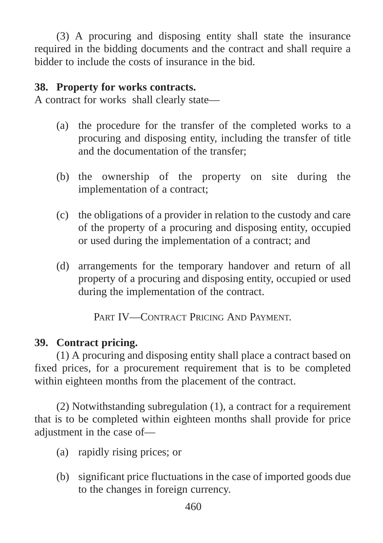(3) A procuring and disposing entity shall state the insurance required in the bidding documents and the contract and shall require a bidder to include the costs of insurance in the bid.

## **38. Property for works contracts.**

A contract for works shall clearly state—

- (a) the procedure for the transfer of the completed works to a procuring and disposing entity, including the transfer of title and the documentation of the transfer;
- (b) the ownership of the property on site during the implementation of a contract;
- (c) the obligations of a provider in relation to the custody and care of the property of a procuring and disposing entity, occupied or used during the implementation of a contract; and
- (d) arrangements for the temporary handover and return of all property of a procuring and disposing entity, occupied or used during the implementation of the contract.

PART IV—CONTRACT PRICING AND PAYMENT.

# **39. Contract pricing.**

(1) A procuring and disposing entity shall place a contract based on fixed prices, for a procurement requirement that is to be completed within eighteen months from the placement of the contract.

(2) Notwithstanding subregulation (1), a contract for a requirement that is to be completed within eighteen months shall provide for price adjustment in the case of—

- (a) rapidly rising prices; or
- (b) significant price fluctuations in the case of imported goods due to the changes in foreign currency.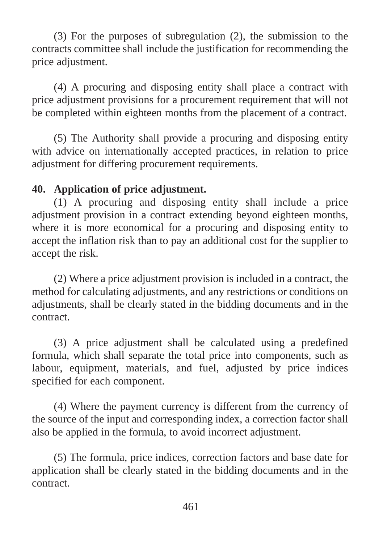(3) For the purposes of subregulation (2), the submission to the contracts committee shall include the justification for recommending the price adjustment.

(4) A procuring and disposing entity shall place a contract with price adjustment provisions for a procurement requirement that will not be completed within eighteen months from the placement of a contract.

(5) The Authority shall provide a procuring and disposing entity with advice on internationally accepted practices, in relation to price adjustment for differing procurement requirements.

#### **40. Application of price adjustment.**

(1) A procuring and disposing entity shall include a price adjustment provision in a contract extending beyond eighteen months, where it is more economical for a procuring and disposing entity to accept the inflation risk than to pay an additional cost for the supplier to accept the risk.

(2) Where a price adjustment provision is included in a contract, the method for calculating adjustments, and any restrictions or conditions on adjustments, shall be clearly stated in the bidding documents and in the contract.

(3) A price adjustment shall be calculated using a predefined formula, which shall separate the total price into components, such as labour, equipment, materials, and fuel, adjusted by price indices specified for each component.

(4) Where the payment currency is different from the currency of the source of the input and corresponding index, a correction factor shall also be applied in the formula, to avoid incorrect adjustment.

(5) The formula, price indices, correction factors and base date for application shall be clearly stated in the bidding documents and in the contract.

461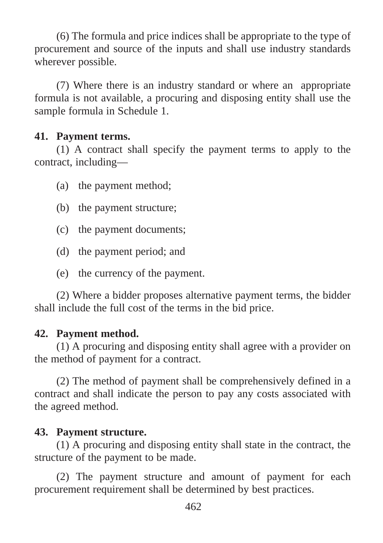(6) The formula and price indices shall be appropriate to the type of procurement and source of the inputs and shall use industry standards wherever possible.

(7) Where there is an industry standard or where an appropriate formula is not available, a procuring and disposing entity shall use the sample formula in Schedule 1.

## **41. Payment terms.**

(1) A contract shall specify the payment terms to apply to the contract, including—

- (a) the payment method;
- (b) the payment structure;
- (c) the payment documents;
- (d) the payment period; and
- (e) the currency of the payment.

(2) Where a bidder proposes alternative payment terms, the bidder shall include the full cost of the terms in the bid price.

# **42. Payment method.**

(1) A procuring and disposing entity shall agree with a provider on the method of payment for a contract.

(2) The method of payment shall be comprehensively defined in a contract and shall indicate the person to pay any costs associated with the agreed method.

# **43. Payment structure.**

(1) A procuring and disposing entity shall state in the contract, the structure of the payment to be made.

(2) The payment structure and amount of payment for each procurement requirement shall be determined by best practices.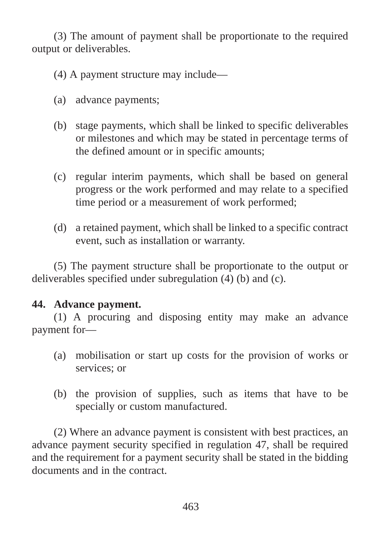(3) The amount of payment shall be proportionate to the required output or deliverables.

(4) A payment structure may include—

- (a) advance payments;
- (b) stage payments, which shall be linked to specific deliverables or milestones and which may be stated in percentage terms of the defined amount or in specific amounts;
- (c) regular interim payments, which shall be based on general progress or the work performed and may relate to a specified time period or a measurement of work performed;
- (d) a retained payment, which shall be linked to a specific contract event, such as installation or warranty.

(5) The payment structure shall be proportionate to the output or deliverables specified under subregulation (4) (b) and (c).

# **44. Advance payment.**

(1) A procuring and disposing entity may make an advance payment for—

- (a) mobilisation or start up costs for the provision of works or services; or
- (b) the provision of supplies, such as items that have to be specially or custom manufactured.

(2) Where an advance payment is consistent with best practices, an advance payment security specified in regulation 47, shall be required and the requirement for a payment security shall be stated in the bidding documents and in the contract.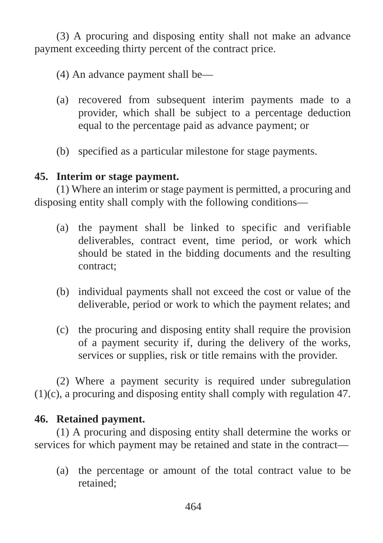(3) A procuring and disposing entity shall not make an advance payment exceeding thirty percent of the contract price.

- (4) An advance payment shall be—
- (a) recovered from subsequent interim payments made to a provider, which shall be subject to a percentage deduction equal to the percentage paid as advance payment; or
- (b) specified as a particular milestone for stage payments.

# **45. Interim or stage payment.**

(1) Where an interim or stage payment is permitted, a procuring and disposing entity shall comply with the following conditions—

- (a) the payment shall be linked to specific and verifiable deliverables, contract event, time period, or work which should be stated in the bidding documents and the resulting contract;
- (b) individual payments shall not exceed the cost or value of the deliverable, period or work to which the payment relates; and
- (c) the procuring and disposing entity shall require the provision of a payment security if, during the delivery of the works, services or supplies, risk or title remains with the provider.

(2) Where a payment security is required under subregulation (1)(c), a procuring and disposing entity shall comply with regulation 47.

# **46. Retained payment.**

(1) A procuring and disposing entity shall determine the works or services for which payment may be retained and state in the contract—

(a) the percentage or amount of the total contract value to be retained;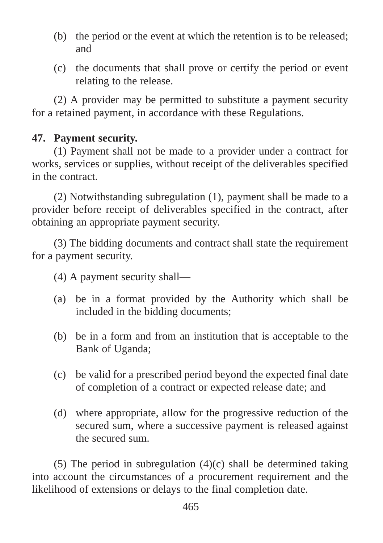- (b) the period or the event at which the retention is to be released; and
- (c) the documents that shall prove or certify the period or event relating to the release.

(2) A provider may be permitted to substitute a payment security for a retained payment, in accordance with these Regulations.

### **47. Payment security.**

(1) Payment shall not be made to a provider under a contract for works, services or supplies, without receipt of the deliverables specified in the contract.

(2) Notwithstanding subregulation (1), payment shall be made to a provider before receipt of deliverables specified in the contract, after obtaining an appropriate payment security.

(3) The bidding documents and contract shall state the requirement for a payment security.

(4) A payment security shall—

- (a) be in a format provided by the Authority which shall be included in the bidding documents;
- (b) be in a form and from an institution that is acceptable to the Bank of Uganda;
- (c) be valid for a prescribed period beyond the expected final date of completion of a contract or expected release date; and
- (d) where appropriate, allow for the progressive reduction of the secured sum, where a successive payment is released against the secured sum.

(5) The period in subregulation (4)(c) shall be determined taking into account the circumstances of a procurement requirement and the likelihood of extensions or delays to the final completion date.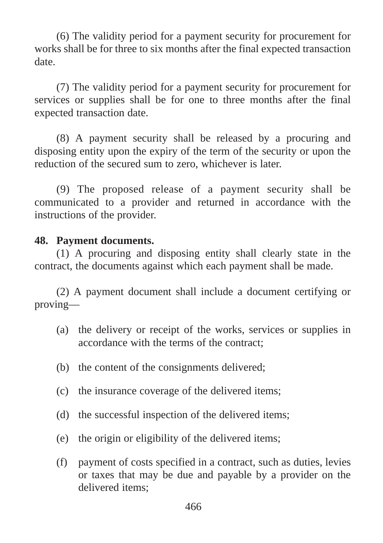(6) The validity period for a payment security for procurement for works shall be for three to six months after the final expected transaction date.

(7) The validity period for a payment security for procurement for services or supplies shall be for one to three months after the final expected transaction date.

(8) A payment security shall be released by a procuring and disposing entity upon the expiry of the term of the security or upon the reduction of the secured sum to zero, whichever is later.

(9) The proposed release of a payment security shall be communicated to a provider and returned in accordance with the instructions of the provider.

#### **48. Payment documents.**

(1) A procuring and disposing entity shall clearly state in the contract, the documents against which each payment shall be made.

(2) A payment document shall include a document certifying or proving—

- (a) the delivery or receipt of the works, services or supplies in accordance with the terms of the contract;
- (b) the content of the consignments delivered;
- (c) the insurance coverage of the delivered items;
- (d) the successful inspection of the delivered items;
- (e) the origin or eligibility of the delivered items;
- (f) payment of costs specified in a contract, such as duties, levies or taxes that may be due and payable by a provider on the delivered items;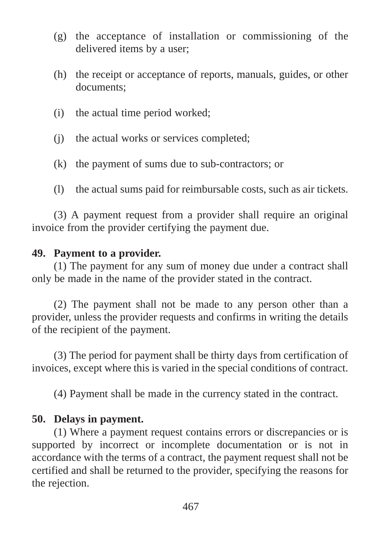- (g) the acceptance of installation or commissioning of the delivered items by a user;
- (h) the receipt or acceptance of reports, manuals, guides, or other documents;
- (i) the actual time period worked;
- (j) the actual works or services completed;
- (k) the payment of sums due to sub-contractors; or
- (l) the actual sums paid for reimbursable costs, such as air tickets.

(3) A payment request from a provider shall require an original invoice from the provider certifying the payment due.

#### **49. Payment to a provider.**

(1) The payment for any sum of money due under a contract shall only be made in the name of the provider stated in the contract.

(2) The payment shall not be made to any person other than a provider, unless the provider requests and confirms in writing the details of the recipient of the payment.

(3) The period for payment shall be thirty days from certification of invoices, except where this is varied in the special conditions of contract.

(4) Payment shall be made in the currency stated in the contract.

#### **50. Delays in payment.**

(1) Where a payment request contains errors or discrepancies or is supported by incorrect or incomplete documentation or is not in accordance with the terms of a contract, the payment request shall not be certified and shall be returned to the provider, specifying the reasons for the rejection.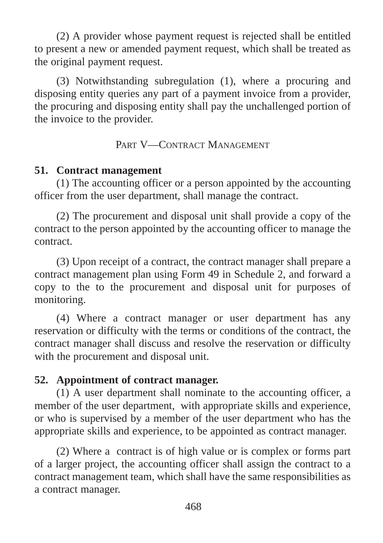(2) A provider whose payment request is rejected shall be entitled to present a new or amended payment request, which shall be treated as the original payment request.

(3) Notwithstanding subregulation (1), where a procuring and disposing entity queries any part of a payment invoice from a provider, the procuring and disposing entity shall pay the unchallenged portion of the invoice to the provider.

# PART V—CONTRACT MANAGEMENT

#### **51. Contract management**

(1) The accounting officer or a person appointed by the accounting officer from the user department, shall manage the contract.

(2) The procurement and disposal unit shall provide a copy of the contract to the person appointed by the accounting officer to manage the contract.

(3) Upon receipt of a contract, the contract manager shall prepare a contract management plan using Form 49 in Schedule 2, and forward a copy to the to the procurement and disposal unit for purposes of monitoring.

(4) Where a contract manager or user department has any reservation or difficulty with the terms or conditions of the contract, the contract manager shall discuss and resolve the reservation or difficulty with the procurement and disposal unit.

# **52. Appointment of contract manager.**

(1) A user department shall nominate to the accounting officer, a member of the user department, with appropriate skills and experience, or who is supervised by a member of the user department who has the appropriate skills and experience, to be appointed as contract manager.

(2) Where a contract is of high value or is complex or forms part of a larger project, the accounting officer shall assign the contract to a contract management team, which shall have the same responsibilities as a contract manager.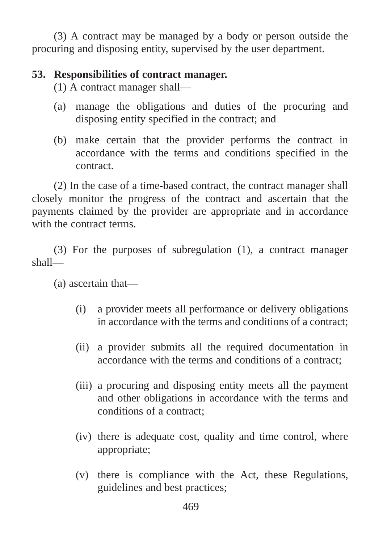(3) A contract may be managed by a body or person outside the procuring and disposing entity, supervised by the user department.

# **53. Responsibilities of contract manager.**

(1) A contract manager shall—

- (a) manage the obligations and duties of the procuring and disposing entity specified in the contract; and
- (b) make certain that the provider performs the contract in accordance with the terms and conditions specified in the contract.

(2) In the case of a time-based contract, the contract manager shall closely monitor the progress of the contract and ascertain that the payments claimed by the provider are appropriate and in accordance with the contract terms.

(3) For the purposes of subregulation (1), a contract manager shall—

(a) ascertain that—

- (i) a provider meets all performance or delivery obligations in accordance with the terms and conditions of a contract;
- (ii) a provider submits all the required documentation in accordance with the terms and conditions of a contract;
- (iii) a procuring and disposing entity meets all the payment and other obligations in accordance with the terms and conditions of a contract;
- (iv) there is adequate cost, quality and time control, where appropriate;
- (v) there is compliance with the Act, these Regulations, guidelines and best practices;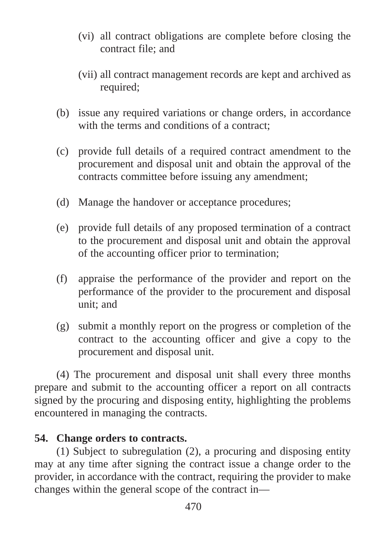- (vi) all contract obligations are complete before closing the contract file; and
- (vii) all contract management records are kept and archived as required;
- (b) issue any required variations or change orders, in accordance with the terms and conditions of a contract;
- (c) provide full details of a required contract amendment to the procurement and disposal unit and obtain the approval of the contracts committee before issuing any amendment;
- (d) Manage the handover or acceptance procedures;
- (e) provide full details of any proposed termination of a contract to the procurement and disposal unit and obtain the approval of the accounting officer prior to termination;
- (f) appraise the performance of the provider and report on the performance of the provider to the procurement and disposal unit; and
- (g) submit a monthly report on the progress or completion of the contract to the accounting officer and give a copy to the procurement and disposal unit.

(4) The procurement and disposal unit shall every three months prepare and submit to the accounting officer a report on all contracts signed by the procuring and disposing entity, highlighting the problems encountered in managing the contracts.

# **54. Change orders to contracts.**

(1) Subject to subregulation (2), a procuring and disposing entity may at any time after signing the contract issue a change order to the provider, in accordance with the contract, requiring the provider to make changes within the general scope of the contract in—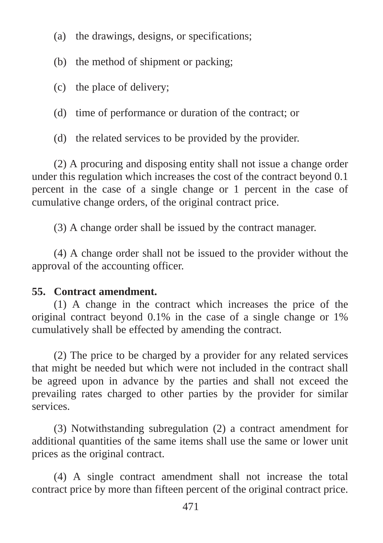- (a) the drawings, designs, or specifications;
- (b) the method of shipment or packing;
- (c) the place of delivery;
- (d) time of performance or duration of the contract; or
- (d) the related services to be provided by the provider.

(2) A procuring and disposing entity shall not issue a change order under this regulation which increases the cost of the contract beyond 0.1 percent in the case of a single change or 1 percent in the case of cumulative change orders, of the original contract price.

(3) A change order shall be issued by the contract manager.

(4) A change order shall not be issued to the provider without the approval of the accounting officer.

# **55. Contract amendment.**

(1) A change in the contract which increases the price of the original contract beyond 0.1% in the case of a single change or 1% cumulatively shall be effected by amending the contract.

(2) The price to be charged by a provider for any related services that might be needed but which were not included in the contract shall be agreed upon in advance by the parties and shall not exceed the prevailing rates charged to other parties by the provider for similar services.

(3) Notwithstanding subregulation (2) a contract amendment for additional quantities of the same items shall use the same or lower unit prices as the original contract.

(4) A single contract amendment shall not increase the total contract price by more than fifteen percent of the original contract price.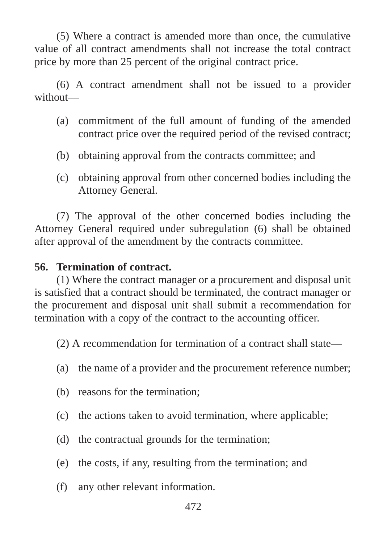(5) Where a contract is amended more than once, the cumulative value of all contract amendments shall not increase the total contract price by more than 25 percent of the original contract price.

(6) A contract amendment shall not be issued to a provider without—

- (a) commitment of the full amount of funding of the amended contract price over the required period of the revised contract;
- (b) obtaining approval from the contracts committee; and
- (c) obtaining approval from other concerned bodies including the Attorney General.

(7) The approval of the other concerned bodies including the Attorney General required under subregulation (6) shall be obtained after approval of the amendment by the contracts committee.

#### **56. Termination of contract.**

(1) Where the contract manager or a procurement and disposal unit is satisfied that a contract should be terminated, the contract manager or the procurement and disposal unit shall submit a recommendation for termination with a copy of the contract to the accounting officer.

(2) A recommendation for termination of a contract shall state—

- (a) the name of a provider and the procurement reference number;
- (b) reasons for the termination;
- (c) the actions taken to avoid termination, where applicable;
- (d) the contractual grounds for the termination;
- (e) the costs, if any, resulting from the termination; and
- (f) any other relevant information.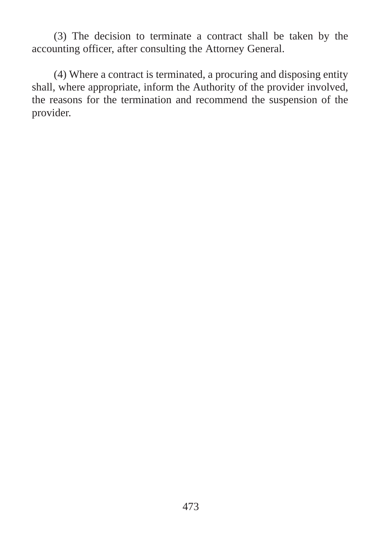(3) The decision to terminate a contract shall be taken by the accounting officer, after consulting the Attorney General.

(4) Where a contract is terminated, a procuring and disposing entity shall, where appropriate, inform the Authority of the provider involved, the reasons for the termination and recommend the suspension of the provider.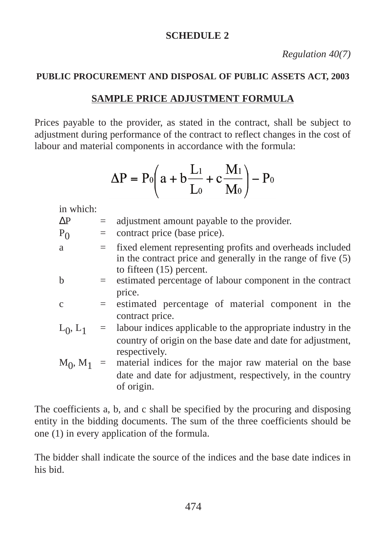#### **SCHEDULE 2**

*Regulation 40(7)*

#### **PUBLIC PROCUREMENT AND DISPOSAL OF PUBLIC ASSETS ACT, 2003**

#### **SAMPLE PRICE ADJUSTMENT FORMULA**

Prices payable to the provider, as stated in the contract, shall be subject to adjustment during performance of the contract to reflect changes in the cost of labour and material components in accordance with the formula:

$$
\Delta P = P_0 \left( a + b \frac{L_1}{L_0} + c \frac{M_1}{M_0} \right) - P_0
$$

in which:

- $\Delta P$  = adjustment amount payable to the provider.
- $P_0$  = contract price (base price).
- a = fixed element representing profits and overheads included in the contract price and generally in the range of five (5) to fifteen (15) percent.
- b = estimated percentage of labour component in the contract price.
- $c =$  estimated percentage of material component in the contract price.
- $L_0$ ,  $L_1$  = labour indices applicable to the appropriate industry in the country of origin on the base date and date for adjustment, respectively.
- $M_0$ ,  $M_1$  = material indices for the major raw material on the base date and date for adjustment, respectively, in the country of origin.

The coefficients a, b, and c shall be specified by the procuring and disposing entity in the bidding documents. The sum of the three coefficients should be one (1) in every application of the formula.

The bidder shall indicate the source of the indices and the base date indices in his bid.